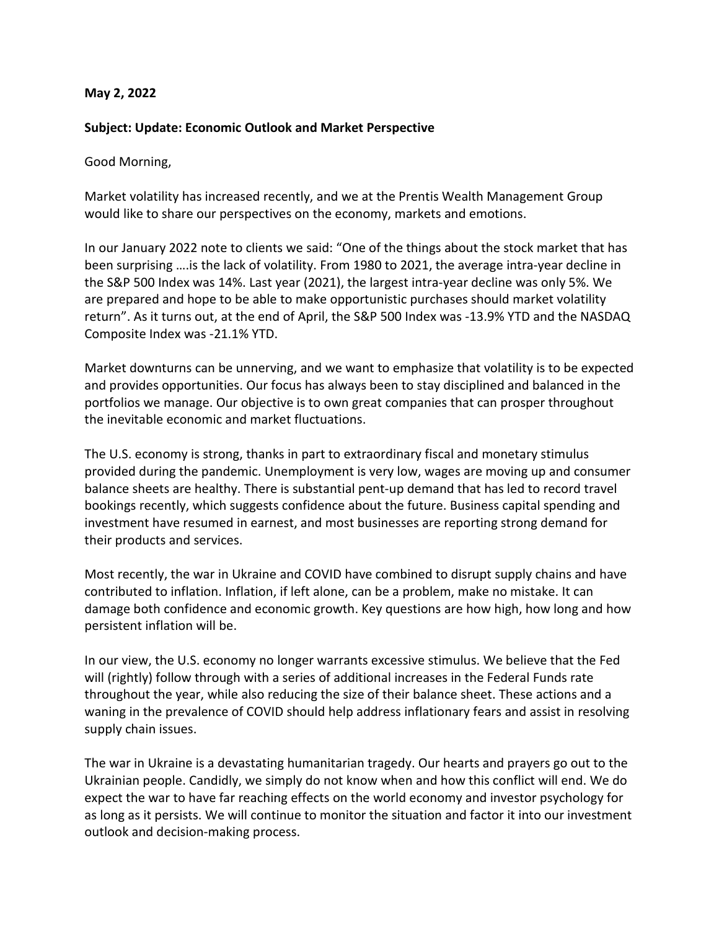## **May 2, 2022**

## **Subject: Update: Economic Outlook and Market Perspective**

Good Morning,

Market volatility has increased recently, and we at the Prentis Wealth Management Group would like to share our perspectives on the economy, markets and emotions.

In our January 2022 note to clients we said: "One of the things about the stock market that has been surprising ….is the lack of volatility. From 1980 to 2021, the average intra-year decline in the S&P 500 Index was 14%. Last year (2021), the largest intra-year decline was only 5%. We are prepared and hope to be able to make opportunistic purchases should market volatility return". As it turns out, at the end of April, the S&P 500 Index was -13.9% YTD and the NASDAQ Composite Index was -21.1% YTD.

Market downturns can be unnerving, and we want to emphasize that volatility is to be expected and provides opportunities. Our focus has always been to stay disciplined and balanced in the portfolios we manage. Our objective is to own great companies that can prosper throughout the inevitable economic and market fluctuations.

The U.S. economy is strong, thanks in part to extraordinary fiscal and monetary stimulus provided during the pandemic. Unemployment is very low, wages are moving up and consumer balance sheets are healthy. There is substantial pent-up demand that has led to record travel bookings recently, which suggests confidence about the future. Business capital spending and investment have resumed in earnest, and most businesses are reporting strong demand for their products and services.

Most recently, the war in Ukraine and COVID have combined to disrupt supply chains and have contributed to inflation. Inflation, if left alone, can be a problem, make no mistake. It can damage both confidence and economic growth. Key questions are how high, how long and how persistent inflation will be.

In our view, the U.S. economy no longer warrants excessive stimulus. We believe that the Fed will (rightly) follow through with a series of additional increases in the Federal Funds rate throughout the year, while also reducing the size of their balance sheet. These actions and a waning in the prevalence of COVID should help address inflationary fears and assist in resolving supply chain issues.

The war in Ukraine is a devastating humanitarian tragedy. Our hearts and prayers go out to the Ukrainian people. Candidly, we simply do not know when and how this conflict will end. We do expect the war to have far reaching effects on the world economy and investor psychology for as long as it persists. We will continue to monitor the situation and factor it into our investment outlook and decision-making process.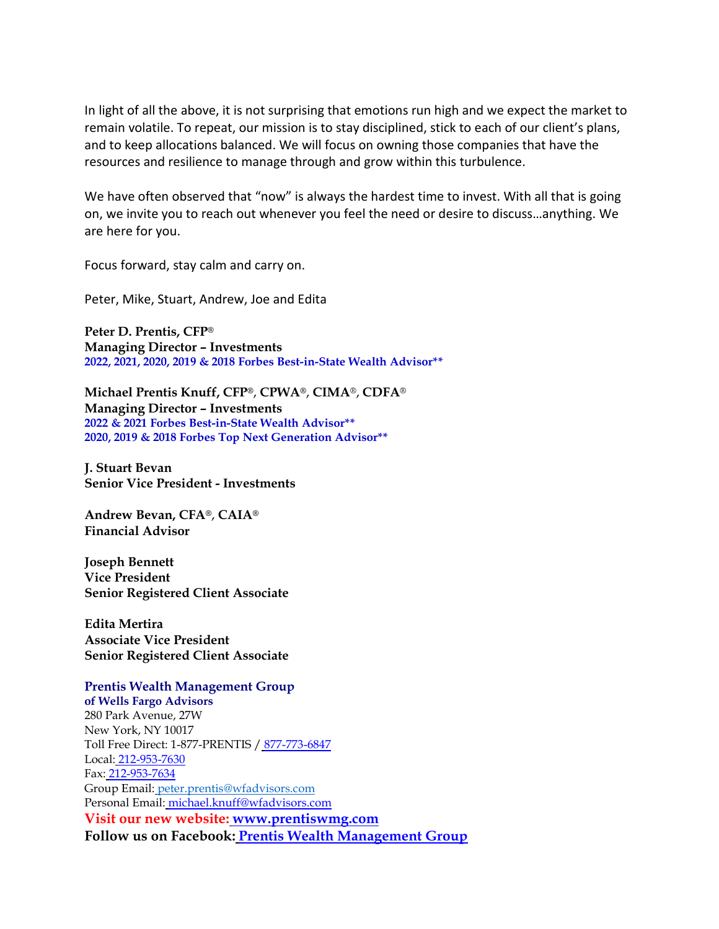In light of all the above, it is not surprising that emotions run high and we expect the market to remain volatile. To repeat, our mission is to stay disciplined, stick to each of our client's plans, and to keep allocations balanced. We will focus on owning those companies that have the resources and resilience to manage through and grow within this turbulence.

We have often observed that "now" is always the hardest time to invest. With all that is going on, we invite you to reach out whenever you feel the need or desire to discuss…anything. We are here for you.

Focus forward, stay calm and carry on.

Peter, Mike, Stuart, Andrew, Joe and Edita

**Peter D. Prentis, CFP® Managing Director – Investments 2022, 2021, 2020, 2019 & 2018 Forbes Best-in-State Wealth Advisor\*\***

**Michael Prentis Knuff, CFP®**, **CPWA®**, **CIMA**®, **CDFA**® **Managing Director – Investments 2022 & 2021 Forbes Best-in-State Wealth Advisor\*\* 2020, 2019 & 2018 Forbes Top Next Generation Advisor\*\***

**J. Stuart Bevan Senior Vice President - Investments**

**Andrew Bevan, CFA®**, **CAIA® Financial Advisor**

**Joseph Bennett Vice President Senior Registered Client Associate**

**Edita Mertira Associate Vice President Senior Registered Client Associate**

## **Prentis Wealth Management Group of Wells Fargo Advisors**

280 Park Avenue, 27W New York, NY 10017 Toll Free Direct: 1-877-PRENTIS / 877-773-6847 Local: 212-953-7630 Fax: 212-953-7634 Group Email: [peter.prentis@wfadvisors.com](mailto:peter.prentis@wfadvisors.com) Personal Email: [michael.knuff@wfadvisors.com](mailto:michael.knuff@wfadvisors.com) **Visit our new website: [www.prentiswmg.com](http://www.prentiswmg.com/) Follow us on Facebook: [Prentis Wealth Management Group](https://www.facebook.com/Prentis-Wealth-Management-Group-of-Wells-Fargo-Advisors-258712834976483/)**